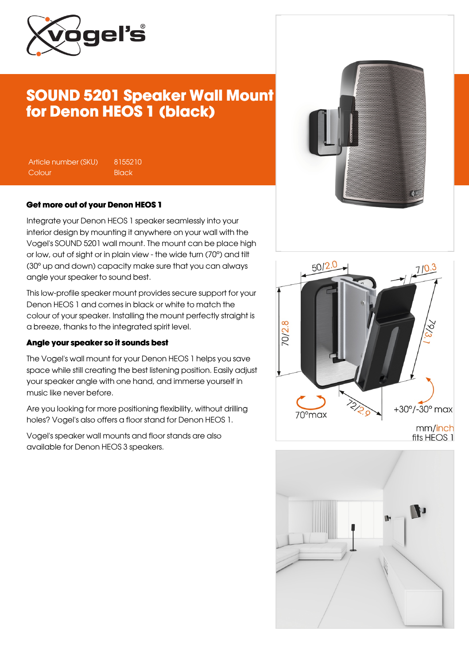

# SOUND 5201 Speaker Wall Mount for Denon HEOS 1 (black)

Article number (SKU) 8155210 Colour Black

#### Get more out of your Denon HEOS 1

Integrate your Denon HEOS 1 speaker seamlessly into your interior design by mounting it anywhere on your wall with the Vogel's SOUND 5201 wall mount. The mount can be place high or low, out of sight or in plain view - the wide turn (70°) and tilt (30° up and down) capacity make sure that you can always angle your speaker to sound best.

This low-profile speaker mount provides secure support for your Denon HEOS 1 and comes in black or white to match the colour of your speaker. Installing the mount perfectly straight is a breeze, thanks to the integrated spirit level.

#### Angle your speaker so it sounds best

The Vogel's wall mount for your Denon HEOS 1 helps you save space while still creating the best listening position. Easily adjust your speaker angle with one hand, and immerse yourself in music like never before.

Are you looking for more positioning flexibility, without drilling holes? Vogel's also offers a floor stand for Denon HEOS 1.

Vogel's speaker wall mounts and floor stands are also available for Denon HEOS 3 speakers.